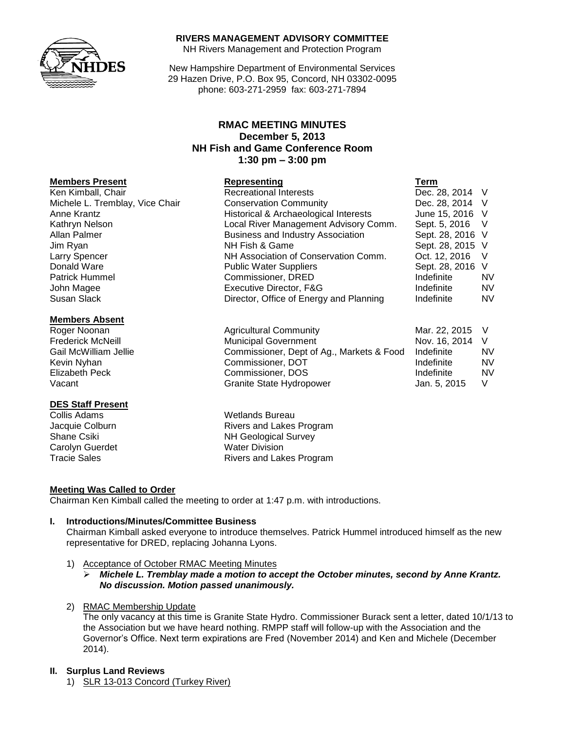

#### **RIVERS MANAGEMENT ADVISORY COMMITTEE**

NH Rivers Management and Protection Program

New Hampshire Department of Environmental Services 29 Hazen Drive, P.O. Box 95, Concord, NH 03302-0095 phone: 603-271-2959 fax: 603-271-7894

# **RMAC MEETING MINUTES December 5, 2013 NH Fish and Game Conference Room 1:30 pm – 3:00 pm**

## **Members Present Representing Term**

Ken Kimball, Chair **Recreational Interests Dec. 28, 2014** V Michele L. Tremblay, Vice Chair Conservation Community Dec. 28, 2014 V Anne Krantz **Historical & Archaeological Interests** June 15, 2016 V Kathryn Nelson **Local River Management Advisory Comm.** Sept. 5, 2016 V Allan Palmer Business and Industry Association Sept. 28, 2016 V Jim Ryan NH Fish & Game Sept. 28, 2015 V Larry Spencer **NH Association of Conservation Comm.** Oct. 12, 2016 V Donald Ware **Network Public Water Suppliers** Sept. 28, 2016 V Patrick Hummel **No. 2018** Commissioner, DRED **Indefinite** NV John Magee Executive Director, F&G Indefinite NV Susan Slack **Director, Office of Energy and Planning** Indefinite NV

#### **Members Absent**

# **DES Staff Present**

Carolyn Guerdet Water Division

## Roger Noonan Agricultural Community Mar. 22, 2015 V Frederick McNeill **Municipal Government** Nov. 16, 2014 V Gail McWilliam Jellie **Commissioner, Dept of Ag., Markets & Food** Indefinite NV Kevin Nyhan **Night Commissioner, DOT** The Indefinite NV Night Night Night Night Night Night Night Night Night Nig Elizabeth Peck Commissioner, DOS Indefinite NV Vacant **Granite State Hydropower** Jan. 5, 2015 V

Wetlands Bureau Jacquie Colburn **Rivers** and Lakes Program Shane Csiki NH Geological Survey Tracie Sales **Rivers** and Lakes Program

## **Meeting Was Called to Order**

Chairman Ken Kimball called the meeting to order at 1:47 p.m. with introductions.

#### **I. Introductions/Minutes/Committee Business**

Chairman Kimball asked everyone to introduce themselves. Patrick Hummel introduced himself as the new representative for DRED, replacing Johanna Lyons.

1) Acceptance of October RMAC Meeting Minutes

## *Michele L. Tremblay made a motion to accept the October minutes, second by Anne Krantz. No discussion. Motion passed unanimously.*

2) RMAC Membership Update

The only vacancy at this time is Granite State Hydro. Commissioner Burack sent a letter, dated 10/1/13 to the Association but we have heard nothing. RMPP staff will follow-up with the Association and the Governor's Office. Next term expirations are Fred (November 2014) and Ken and Michele (December 2014).

#### **II. Surplus Land Reviews**

1) SLR 13-013 Concord (Turkey River)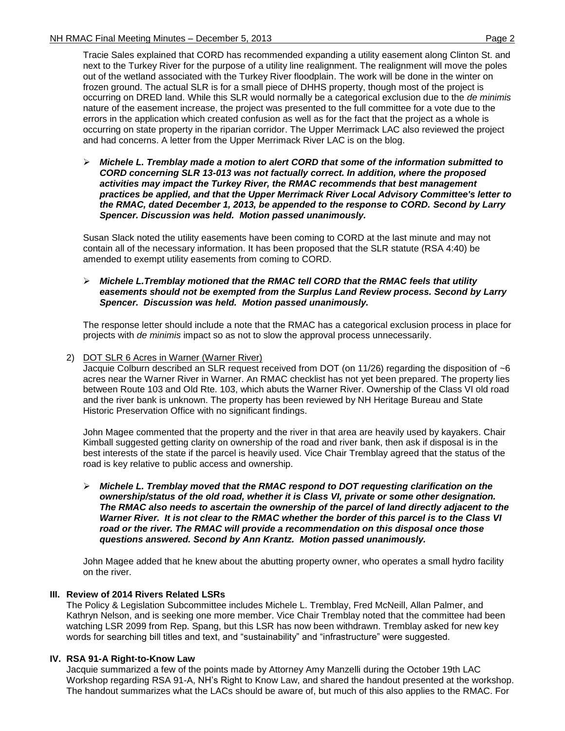Tracie Sales explained that CORD has recommended expanding a utility easement along Clinton St. and next to the Turkey River for the purpose of a utility line realignment. The realignment will move the poles out of the wetland associated with the Turkey River floodplain. The work will be done in the winter on frozen ground. The actual SLR is for a small piece of DHHS property, though most of the project is occurring on DRED land. While this SLR would normally be a categorical exclusion due to the *de minimis* nature of the easement increase, the project was presented to the full committee for a vote due to the errors in the application which created confusion as well as for the fact that the project as a whole is occurring on state property in the riparian corridor. The Upper Merrimack LAC also reviewed the project and had concerns. A letter from the Upper Merrimack River LAC is on the blog.

 *Michele L. Tremblay made a motion to alert CORD that some of the information submitted to CORD concerning SLR 13-013 was not factually correct. In addition, where the proposed activities may impact the Turkey River, the RMAC recommends that best management practices be applied, and that the Upper Merrimack River Local Advisory Committee's letter to the RMAC, dated December 1, 2013, be appended to the response to CORD. Second by Larry Spencer. Discussion was held. Motion passed unanimously.*

Susan Slack noted the utility easements have been coming to CORD at the last minute and may not contain all of the necessary information. It has been proposed that the SLR statute (RSA 4:40) be amended to exempt utility easements from coming to CORD.

## *Michele L.Tremblay motioned that the RMAC tell CORD that the RMAC feels that utility easements should not be exempted from the Surplus Land Review process. Second by Larry Spencer. Discussion was held. Motion passed unanimously.*

The response letter should include a note that the RMAC has a categorical exclusion process in place for projects with *de minimis* impact so as not to slow the approval process unnecessarily.

## 2) DOT SLR 6 Acres in Warner (Warner River)

Jacquie Colburn described an SLR request received from DOT (on 11/26) regarding the disposition of ~6 acres near the Warner River in Warner. An RMAC checklist has not yet been prepared. The property lies between Route 103 and Old Rte. 103, which abuts the Warner River. Ownership of the Class VI old road and the river bank is unknown. The property has been reviewed by NH Heritage Bureau and State Historic Preservation Office with no significant findings.

John Magee commented that the property and the river in that area are heavily used by kayakers. Chair Kimball suggested getting clarity on ownership of the road and river bank, then ask if disposal is in the best interests of the state if the parcel is heavily used. Vice Chair Tremblay agreed that the status of the road is key relative to public access and ownership.

 *Michele L. Tremblay moved that the RMAC respond to DOT requesting clarification on the ownership/status of the old road, whether it is Class VI, private or some other designation. The RMAC also needs to ascertain the ownership of the parcel of land directly adjacent to the Warner River. It is not clear to the RMAC whether the border of this parcel is to the Class VI road or the river. The RMAC will provide a recommendation on this disposal once those questions answered. Second by Ann Krantz. Motion passed unanimously.*

John Magee added that he knew about the abutting property owner, who operates a small hydro facility on the river.

# **III. Review of 2014 Rivers Related LSRs**

The Policy & Legislation Subcommittee includes Michele L. Tremblay, Fred McNeill, Allan Palmer, and Kathryn Nelson, and is seeking one more member. Vice Chair Tremblay noted that the committee had been watching LSR 2099 from Rep. Spang, but this LSR has now been withdrawn. Tremblay asked for new key words for searching bill titles and text, and "sustainability" and "infrastructure" were suggested.

## **IV. RSA 91-A Right-to-Know Law**

Jacquie summarized a few of the points made by Attorney Amy Manzelli during the October 19th LAC Workshop regarding RSA 91-A, NH's Right to Know Law, and shared the handout presented at the workshop. The handout summarizes what the LACs should be aware of, but much of this also applies to the RMAC. For